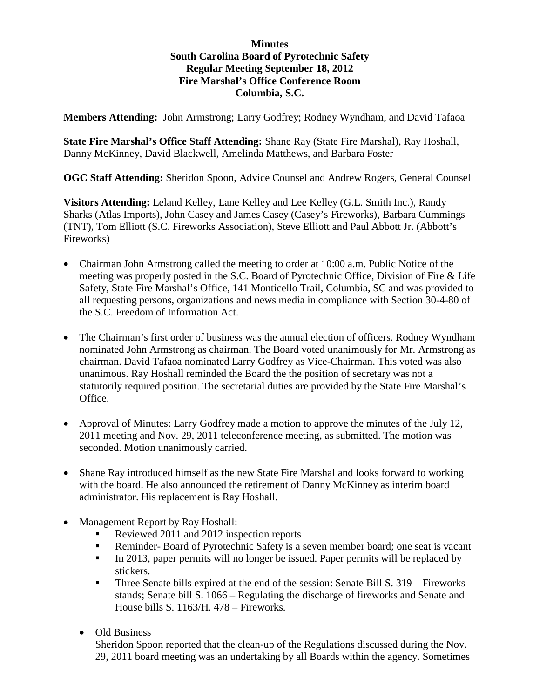## **Minutes South Carolina Board of Pyrotechnic Safety Regular Meeting September 18, 2012 Fire Marshal's Office Conference Room Columbia, S.C.**

**Members Attending:** John Armstrong; Larry Godfrey; Rodney Wyndham, and David Tafaoa

**State Fire Marshal's Office Staff Attending:** Shane Ray (State Fire Marshal), Ray Hoshall, Danny McKinney, David Blackwell, Amelinda Matthews, and Barbara Foster

**OGC Staff Attending:** Sheridon Spoon, Advice Counsel and Andrew Rogers, General Counsel

**Visitors Attending:** Leland Kelley, Lane Kelley and Lee Kelley (G.L. Smith Inc.), Randy Sharks (Atlas Imports), John Casey and James Casey (Casey's Fireworks), Barbara Cummings (TNT), Tom Elliott (S.C. Fireworks Association), Steve Elliott and Paul Abbott Jr. (Abbott's Fireworks)

- Chairman John Armstrong called the meeting to order at 10:00 a.m. Public Notice of the meeting was properly posted in the S.C. Board of Pyrotechnic Office, Division of Fire & Life Safety, State Fire Marshal's Office, 141 Monticello Trail, Columbia, SC and was provided to all requesting persons, organizations and news media in compliance with Section 30-4-80 of the S.C. Freedom of Information Act.
- The Chairman's first order of business was the annual election of officers. Rodney Wyndham nominated John Armstrong as chairman. The Board voted unanimously for Mr. Armstrong as chairman. David Tafaoa nominated Larry Godfrey as Vice-Chairman. This voted was also unanimous. Ray Hoshall reminded the Board the the position of secretary was not a statutorily required position. The secretarial duties are provided by the State Fire Marshal's Office.
- Approval of Minutes: Larry Godfrey made a motion to approve the minutes of the July 12, 2011 meeting and Nov. 29, 2011 teleconference meeting, as submitted. The motion was seconded. Motion unanimously carried.
- Shane Ray introduced himself as the new State Fire Marshal and looks forward to working with the board. He also announced the retirement of Danny McKinney as interim board administrator. His replacement is Ray Hoshall.
- Management Report by Ray Hoshall:
	- Reviewed 2011 and 2012 inspection reports
	- Reminder- Board of Pyrotechnic Safety is a seven member board; one seat is vacant
	- In 2013, paper permits will no longer be issued. Paper permits will be replaced by stickers.
	- Three Senate bills expired at the end of the session: Senate Bill S. 319 Fireworks stands; Senate bill S. 1066 – Regulating the discharge of fireworks and Senate and House bills S. 1163/H. 478 – Fireworks.
	- Old Business

Sheridon Spoon reported that the clean-up of the Regulations discussed during the Nov. 29, 2011 board meeting was an undertaking by all Boards within the agency. Sometimes